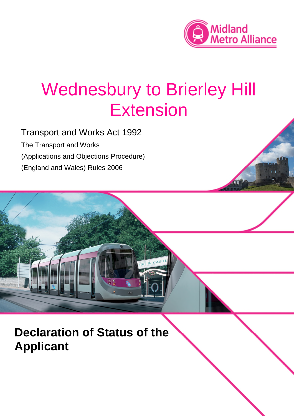

# Wednesbury to Brierley Hill Extension

Transport and Works Act 1992 The Transport and Works (Applications and Objections Procedure) (England and Wales) Rules 2006

**Declaration of Status of the Applicant**